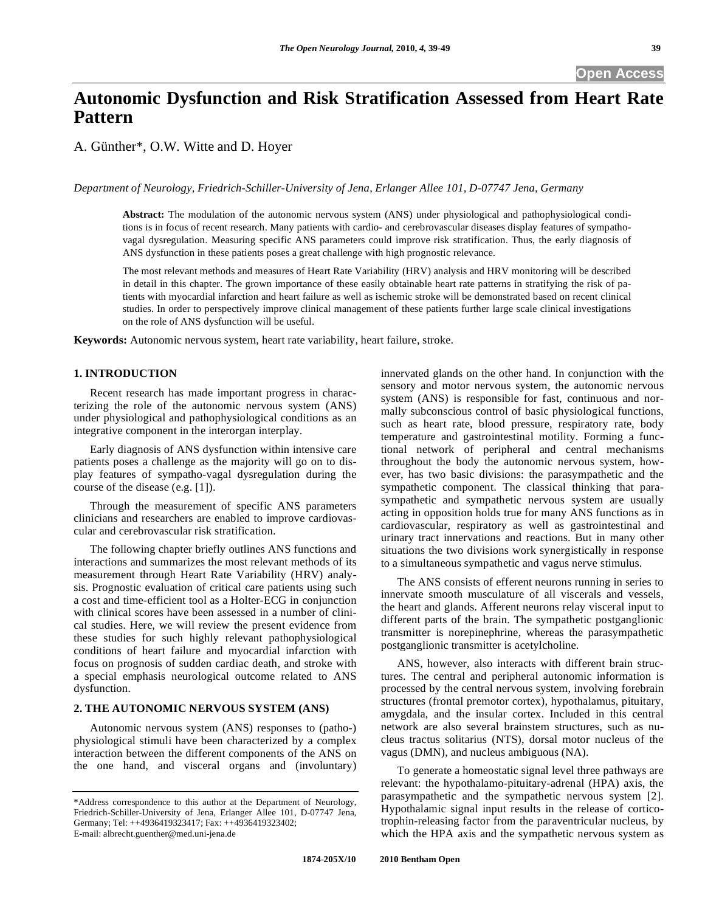# **Autonomic Dysfunction and Risk Stratification Assessed from Heart Rate Pattern**

A. Günther\*, O.W. Witte and D. Hoyer

*Department of Neurology, Friedrich-Schiller-University of Jena, Erlanger Allee 101, D-07747 Jena, Germany* 

**Abstract:** The modulation of the autonomic nervous system (ANS) under physiological and pathophysiological conditions is in focus of recent research. Many patients with cardio- and cerebrovascular diseases display features of sympathovagal dysregulation. Measuring specific ANS parameters could improve risk stratification. Thus, the early diagnosis of ANS dysfunction in these patients poses a great challenge with high prognostic relevance.

The most relevant methods and measures of Heart Rate Variability (HRV) analysis and HRV monitoring will be described in detail in this chapter. The grown importance of these easily obtainable heart rate patterns in stratifying the risk of patients with myocardial infarction and heart failure as well as ischemic stroke will be demonstrated based on recent clinical studies. In order to perspectively improve clinical management of these patients further large scale clinical investigations on the role of ANS dysfunction will be useful.

**Keywords:** Autonomic nervous system, heart rate variability, heart failure, stroke.

#### **1. INTRODUCTION**

 Recent research has made important progress in characterizing the role of the autonomic nervous system (ANS) under physiological and pathophysiological conditions as an integrative component in the interorgan interplay.

 Early diagnosis of ANS dysfunction within intensive care patients poses a challenge as the majority will go on to display features of sympatho-vagal dysregulation during the course of the disease (e.g. [1]).

 Through the measurement of specific ANS parameters clinicians and researchers are enabled to improve cardiovascular and cerebrovascular risk stratification.

 The following chapter briefly outlines ANS functions and interactions and summarizes the most relevant methods of its measurement through Heart Rate Variability (HRV) analysis. Prognostic evaluation of critical care patients using such a cost and time-efficient tool as a Holter-ECG in conjunction with clinical scores have been assessed in a number of clinical studies. Here, we will review the present evidence from these studies for such highly relevant pathophysiological conditions of heart failure and myocardial infarction with focus on prognosis of sudden cardiac death, and stroke with a special emphasis neurological outcome related to ANS dysfunction.

## **2. THE AUTONOMIC NERVOUS SYSTEM (ANS)**

 Autonomic nervous system (ANS) responses to (patho-) physiological stimuli have been characterized by a complex interaction between the different components of the ANS on the one hand, and visceral organs and (involuntary)

innervated glands on the other hand. In conjunction with the sensory and motor nervous system, the autonomic nervous system (ANS) is responsible for fast, continuous and normally subconscious control of basic physiological functions, such as heart rate, blood pressure, respiratory rate, body temperature and gastrointestinal motility. Forming a functional network of peripheral and central mechanisms throughout the body the autonomic nervous system, however, has two basic divisions: the parasympathetic and the sympathetic component. The classical thinking that parasympathetic and sympathetic nervous system are usually acting in opposition holds true for many ANS functions as in cardiovascular, respiratory as well as gastrointestinal and urinary tract innervations and reactions. But in many other situations the two divisions work synergistically in response to a simultaneous sympathetic and vagus nerve stimulus.

 The ANS consists of efferent neurons running in series to innervate smooth musculature of all viscerals and vessels, the heart and glands. Afferent neurons relay visceral input to different parts of the brain. The sympathetic postganglionic transmitter is norepinephrine, whereas the parasympathetic postganglionic transmitter is acetylcholine.

 ANS, however, also interacts with different brain structures. The central and peripheral autonomic information is processed by the central nervous system, involving forebrain structures (frontal premotor cortex), hypothalamus, pituitary, amygdala, and the insular cortex. Included in this central network are also several brainstem structures, such as nucleus tractus solitarius (NTS), dorsal motor nucleus of the vagus (DMN), and nucleus ambiguous (NA).

 To generate a homeostatic signal level three pathways are relevant: the hypothalamo-pituitary-adrenal (HPA) axis, the parasympathetic and the sympathetic nervous system [2]. Hypothalamic signal input results in the release of corticotrophin-releasing factor from the paraventricular nucleus, by which the HPA axis and the sympathetic nervous system as

<sup>\*</sup>Address correspondence to this author at the Department of Neurology, Friedrich-Schiller-University of Jena, Erlanger Allee 101, D-07747 Jena, Germany; Tel: ++4936419323417; Fax: ++4936419323402; E-mail: albrecht.guenther@med.uni-jena.de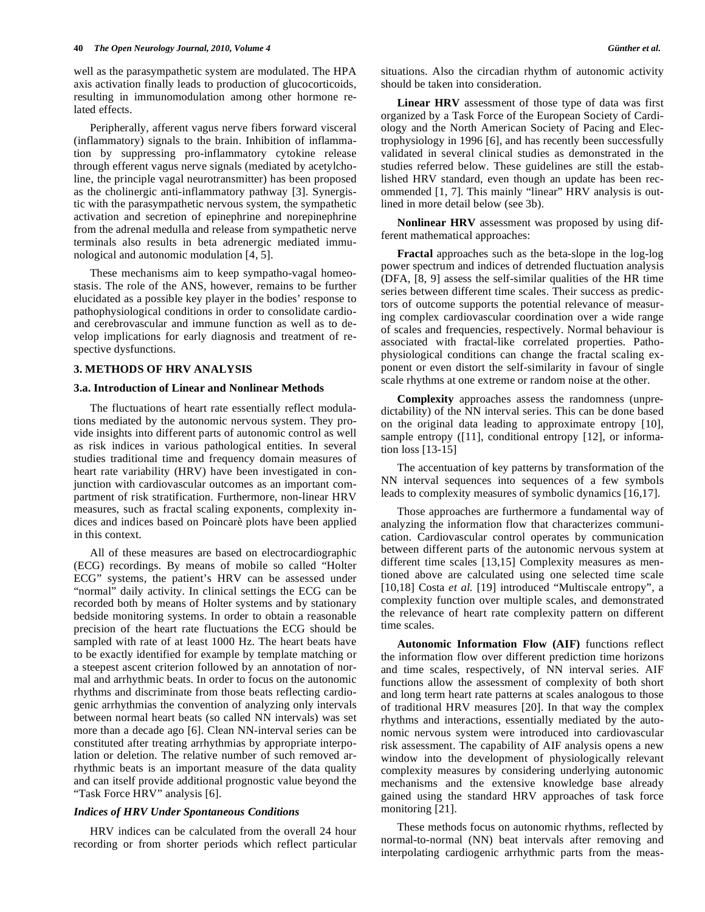well as the parasympathetic system are modulated. The HPA axis activation finally leads to production of glucocorticoids, resulting in immunomodulation among other hormone related effects.

 Peripherally, afferent vagus nerve fibers forward visceral (inflammatory) signals to the brain. Inhibition of inflammation by suppressing pro-inflammatory cytokine release through efferent vagus nerve signals (mediated by acetylcholine, the principle vagal neurotransmitter) has been proposed as the cholinergic anti-inflammatory pathway [3]. Synergistic with the parasympathetic nervous system, the sympathetic activation and secretion of epinephrine and norepinephrine from the adrenal medulla and release from sympathetic nerve terminals also results in beta adrenergic mediated immunological and autonomic modulation [4, 5].

 These mechanisms aim to keep sympatho-vagal homeostasis. The role of the ANS, however, remains to be further elucidated as a possible key player in the bodies' response to pathophysiological conditions in order to consolidate cardioand cerebrovascular and immune function as well as to develop implications for early diagnosis and treatment of respective dysfunctions.

## **3. METHODS OF HRV ANALYSIS**

#### **3.a. Introduction of Linear and Nonlinear Methods**

 The fluctuations of heart rate essentially reflect modulations mediated by the autonomic nervous system. They provide insights into different parts of autonomic control as well as risk indices in various pathological entities. In several studies traditional time and frequency domain measures of heart rate variability (HRV) have been investigated in conjunction with cardiovascular outcomes as an important compartment of risk stratification. Furthermore, non-linear HRV measures, such as fractal scaling exponents, complexity indices and indices based on Poincarè plots have been applied in this context.

 All of these measures are based on electrocardiographic (ECG) recordings. By means of mobile so called "Holter ECG" systems, the patient's HRV can be assessed under "normal" daily activity. In clinical settings the ECG can be recorded both by means of Holter systems and by stationary bedside monitoring systems. In order to obtain a reasonable precision of the heart rate fluctuations the ECG should be sampled with rate of at least 1000 Hz. The heart beats have to be exactly identified for example by template matching or a steepest ascent criterion followed by an annotation of normal and arrhythmic beats. In order to focus on the autonomic rhythms and discriminate from those beats reflecting cardiogenic arrhythmias the convention of analyzing only intervals between normal heart beats (so called NN intervals) was set more than a decade ago [6]. Clean NN-interval series can be constituted after treating arrhythmias by appropriate interpolation or deletion. The relative number of such removed arrhythmic beats is an important measure of the data quality and can itself provide additional prognostic value beyond the "Task Force HRV" analysis [6].

#### *Indices of HRV Under Spontaneous Conditions*

 HRV indices can be calculated from the overall 24 hour recording or from shorter periods which reflect particular situations. Also the circadian rhythm of autonomic activity should be taken into consideration.

 **Linear HRV** assessment of those type of data was first organized by a Task Force of the European Society of Cardiology and the North American Society of Pacing and Electrophysiology in 1996 [6], and has recently been successfully validated in several clinical studies as demonstrated in the studies referred below. These guidelines are still the established HRV standard, even though an update has been recommended [1, 7]. This mainly "linear" HRV analysis is outlined in more detail below (see 3b).

 **Nonlinear HRV** assessment was proposed by using different mathematical approaches:

 **Fractal** approaches such as the beta-slope in the log-log power spectrum and indices of detrended fluctuation analysis (DFA, [8, 9] assess the self-similar qualities of the HR time series between different time scales. Their success as predictors of outcome supports the potential relevance of measuring complex cardiovascular coordination over a wide range of scales and frequencies, respectively. Normal behaviour is associated with fractal-like correlated properties. Pathophysiological conditions can change the fractal scaling exponent or even distort the self-similarity in favour of single scale rhythms at one extreme or random noise at the other.

 **Complexity** approaches assess the randomness (unpredictability) of the NN interval series. This can be done based on the original data leading to approximate entropy [10], sample entropy ([11], conditional entropy [12], or information loss [13-15]

 The accentuation of key patterns by transformation of the NN interval sequences into sequences of a few symbols leads to complexity measures of symbolic dynamics [16,17].

 Those approaches are furthermore a fundamental way of analyzing the information flow that characterizes communication. Cardiovascular control operates by communication between different parts of the autonomic nervous system at different time scales [13,15] Complexity measures as mentioned above are calculated using one selected time scale [10,18] Costa *et al.* [19] introduced "Multiscale entropy", a complexity function over multiple scales, and demonstrated the relevance of heart rate complexity pattern on different time scales.

 **Autonomic Information Flow (AIF)** functions reflect the information flow over different prediction time horizons and time scales, respectively, of NN interval series. AIF functions allow the assessment of complexity of both short and long term heart rate patterns at scales analogous to those of traditional HRV measures [20]. In that way the complex rhythms and interactions, essentially mediated by the autonomic nervous system were introduced into cardiovascular risk assessment. The capability of AIF analysis opens a new window into the development of physiologically relevant complexity measures by considering underlying autonomic mechanisms and the extensive knowledge base already gained using the standard HRV approaches of task force monitoring [21].

 These methods focus on autonomic rhythms, reflected by normal-to-normal (NN) beat intervals after removing and interpolating cardiogenic arrhythmic parts from the meas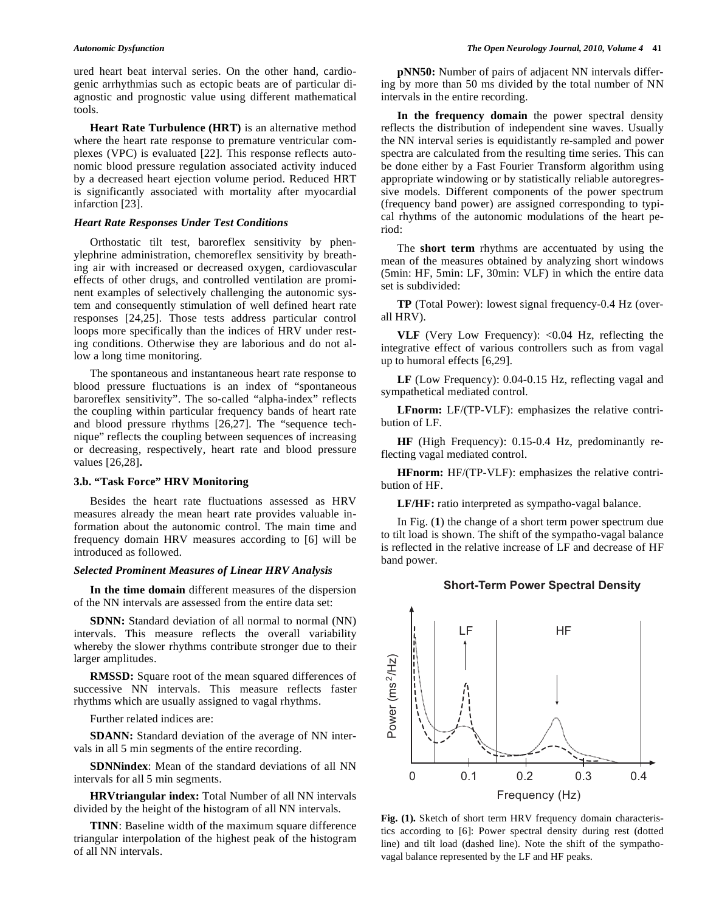ured heart beat interval series. On the other hand, cardiogenic arrhythmias such as ectopic beats are of particular diagnostic and prognostic value using different mathematical tools.

 **Heart Rate Turbulence (HRT)** is an alternative method where the heart rate response to premature ventricular complexes (VPC) is evaluated [22]. This response reflects autonomic blood pressure regulation associated activity induced by a decreased heart ejection volume period. Reduced HRT is significantly associated with mortality after myocardial infarction [23].

#### *Heart Rate Responses Under Test Conditions*

 Orthostatic tilt test, baroreflex sensitivity by phenylephrine administration, chemoreflex sensitivity by breathing air with increased or decreased oxygen, cardiovascular effects of other drugs, and controlled ventilation are prominent examples of selectively challenging the autonomic system and consequently stimulation of well defined heart rate responses [24,25]. Those tests address particular control loops more specifically than the indices of HRV under resting conditions. Otherwise they are laborious and do not allow a long time monitoring.

 The spontaneous and instantaneous heart rate response to blood pressure fluctuations is an index of "spontaneous baroreflex sensitivity". The so-called "alpha-index" reflects the coupling within particular frequency bands of heart rate and blood pressure rhythms [26,27]. The "sequence technique" reflects the coupling between sequences of increasing or decreasing, respectively, heart rate and blood pressure values [26,28]**.** 

## **3.b. "Task Force" HRV Monitoring**

 Besides the heart rate fluctuations assessed as HRV measures already the mean heart rate provides valuable information about the autonomic control. The main time and frequency domain HRV measures according to [6] will be introduced as followed.

#### *Selected Prominent Measures of Linear HRV Analysis*

 **In the time domain** different measures of the dispersion of the NN intervals are assessed from the entire data set:

**SDNN:** Standard deviation of all normal to normal (NN) intervals. This measure reflects the overall variability whereby the slower rhythms contribute stronger due to their larger amplitudes.

 **RMSSD:** Square root of the mean squared differences of successive NN intervals. This measure reflects faster rhythms which are usually assigned to vagal rhythms.

Further related indices are:

 **SDANN:** Standard deviation of the average of NN intervals in all 5 min segments of the entire recording.

 **SDNNindex**: Mean of the standard deviations of all NN intervals for all 5 min segments.

 **HRVtriangular index:** Total Number of all NN intervals divided by the height of the histogram of all NN intervals.

**TINN**: Baseline width of the maximum square difference triangular interpolation of the highest peak of the histogram of all NN intervals.

 **pNN50:** Number of pairs of adjacent NN intervals differing by more than 50 ms divided by the total number of NN intervals in the entire recording.

 **In the frequency domain** the power spectral density reflects the distribution of independent sine waves. Usually the NN interval series is equidistantly re-sampled and power spectra are calculated from the resulting time series. This can be done either by a Fast Fourier Transform algorithm using appropriate windowing or by statistically reliable autoregressive models. Different components of the power spectrum (frequency band power) are assigned corresponding to typical rhythms of the autonomic modulations of the heart period:

 The **short term** rhythms are accentuated by using the mean of the measures obtained by analyzing short windows (5min: HF, 5min: LF, 30min: VLF) in which the entire data set is subdivided:

 **TP** (Total Power): lowest signal frequency-0.4 Hz (overall HRV).

 **VLF** (Very Low Frequency): <0.04 Hz, reflecting the integrative effect of various controllers such as from vagal up to humoral effects [6,29].

 **LF** (Low Frequency): 0.04-0.15 Hz, reflecting vagal and sympathetical mediated control.

**LFnorm:** LF/(TP-VLF): emphasizes the relative contribution of LF.

 **HF** (High Frequency): 0.15-0.4 Hz, predominantly reflecting vagal mediated control.

 **HFnorm:** HF/(TP-VLF): emphasizes the relative contribution of HF.

**LF/HF:** ratio interpreted as sympatho-vagal balance.

 In Fig. (**1**) the change of a short term power spectrum due to tilt load is shown. The shift of the sympatho-vagal balance is reflected in the relative increase of LF and decrease of HF band power.

## Short-Term Power Spectral Density



**Fig. (1).** Sketch of short term HRV frequency domain characteristics according to [6]: Power spectral density during rest (dotted line) and tilt load (dashed line). Note the shift of the sympathovagal balance represented by the LF and HF peaks.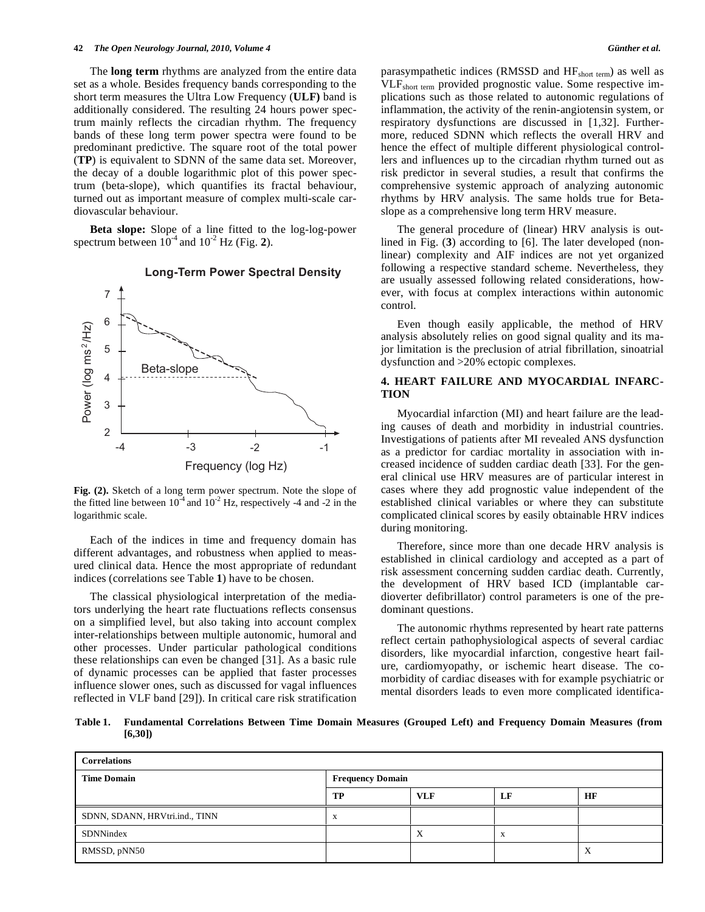The **long term** rhythms are analyzed from the entire data set as a whole. Besides frequency bands corresponding to the short term measures the Ultra Low Frequency (**ULF)** band is additionally considered. The resulting 24 hours power spectrum mainly reflects the circadian rhythm. The frequency bands of these long term power spectra were found to be predominant predictive. The square root of the total power (**TP**) is equivalent to SDNN of the same data set. Moreover, the decay of a double logarithmic plot of this power spectrum (beta-slope), which quantifies its fractal behaviour, turned out as important measure of complex multi-scale cardiovascular behaviour.

 **Beta slope:** Slope of a line fitted to the log-log-power spectrum between  $10^{-4}$  and  $10^{-2}$  Hz (Fig. 2).



## Long-Term Power Spectral Density

**Fig. (2).** Sketch of a long term power spectrum. Note the slope of the fitted line between  $10^{-4}$  and  $10^{-2}$  Hz, respectively -4 and -2 in the logarithmic scale.

 Each of the indices in time and frequency domain has different advantages, and robustness when applied to measured clinical data. Hence the most appropriate of redundant indices (correlations see Table **1**) have to be chosen.

 The classical physiological interpretation of the mediators underlying the heart rate fluctuations reflects consensus on a simplified level, but also taking into account complex inter-relationships between multiple autonomic, humoral and other processes. Under particular pathological conditions these relationships can even be changed [31]. As a basic rule of dynamic processes can be applied that faster processes influence slower ones, such as discussed for vagal influences reflected in VLF band [29]). In critical care risk stratification parasympathetic indices (RMSSD and HFshort term) as well as VLFshort term provided prognostic value. Some respective implications such as those related to autonomic regulations of inflammation, the activity of the renin-angiotensin system, or respiratory dysfunctions are discussed in [1,32]. Furthermore, reduced SDNN which reflects the overall HRV and hence the effect of multiple different physiological controllers and influences up to the circadian rhythm turned out as risk predictor in several studies, a result that confirms the comprehensive systemic approach of analyzing autonomic rhythms by HRV analysis. The same holds true for Betaslope as a comprehensive long term HRV measure.

 The general procedure of (linear) HRV analysis is outlined in Fig. (**3**) according to [6]. The later developed (nonlinear) complexity and AIF indices are not yet organized following a respective standard scheme. Nevertheless, they are usually assessed following related considerations, however, with focus at complex interactions within autonomic control.

 Even though easily applicable, the method of HRV analysis absolutely relies on good signal quality and its major limitation is the preclusion of atrial fibrillation, sinoatrial dysfunction and >20% ectopic complexes.

## **4. HEART FAILURE AND MYOCARDIAL INFARC-TION**

 Myocardial infarction (MI) and heart failure are the leading causes of death and morbidity in industrial countries. Investigations of patients after MI revealed ANS dysfunction as a predictor for cardiac mortality in association with increased incidence of sudden cardiac death [33]. For the general clinical use HRV measures are of particular interest in cases where they add prognostic value independent of the established clinical variables or where they can substitute complicated clinical scores by easily obtainable HRV indices during monitoring.

 Therefore, since more than one decade HRV analysis is established in clinical cardiology and accepted as a part of risk assessment concerning sudden cardiac death. Currently, the development of HRV based ICD (implantable cardioverter defibrillator) control parameters is one of the predominant questions.

 The autonomic rhythms represented by heart rate patterns reflect certain pathophysiological aspects of several cardiac disorders, like myocardial infarction, congestive heart failure, cardiomyopathy, or ischemic heart disease. The comorbidity of cardiac diseases with for example psychiatric or mental disorders leads to even more complicated identifica-

**Table 1. Fundamental Correlations Between Time Domain Measures (Grouped Left) and Frequency Domain Measures (from [6,30])** 

| <b>Correlations</b>            |                         |            |    |          |  |  |
|--------------------------------|-------------------------|------------|----|----------|--|--|
| <b>Time Domain</b>             | <b>Frequency Domain</b> |            |    |          |  |  |
|                                | TP                      | <b>VLF</b> | LF | HF       |  |  |
| SDNN, SDANN, HRVtri.ind., TINN | $\Lambda$               |            |    |          |  |  |
| <b>SDNNindex</b>               |                         | $\Lambda$  | X  |          |  |  |
| RMSSD, pNN50                   |                         |            |    | $\Delta$ |  |  |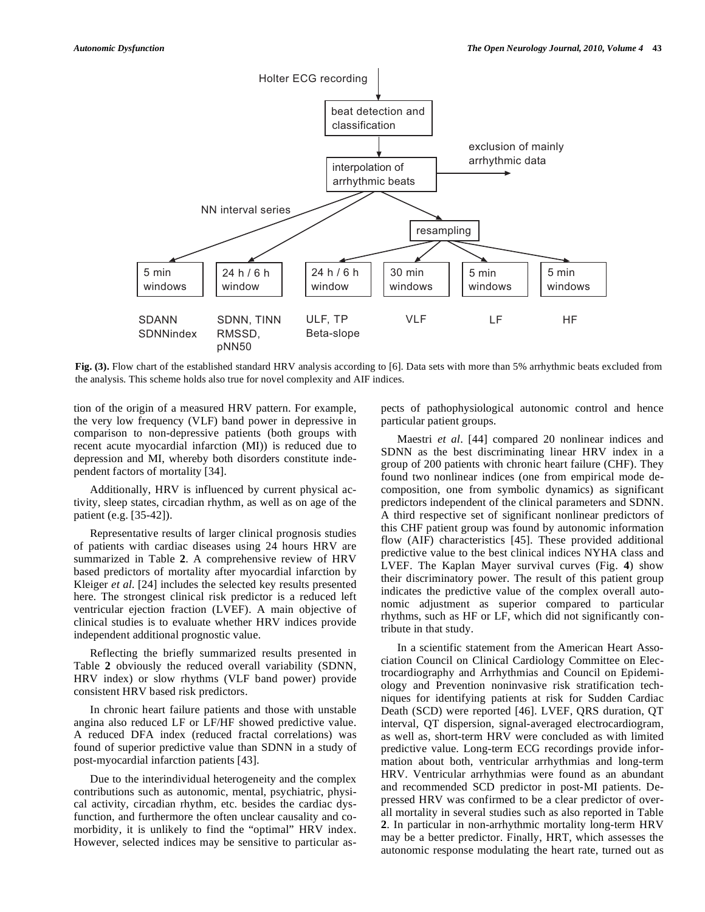

Fig. (3). Flow chart of the established standard HRV analysis according to [6]. Data sets with more than 5% arrhythmic beats excluded from the analysis. This scheme holds also true for novel complexity and AIF indices.

tion of the origin of a measured HRV pattern. For example, the very low frequency (VLF) band power in depressive in comparison to non-depressive patients (both groups with recent acute myocardial infarction (MI)) is reduced due to depression and MI, whereby both disorders constitute independent factors of mortality [34].

 Additionally, HRV is influenced by current physical activity, sleep states, circadian rhythm, as well as on age of the patient (e.g. [35-42]).

 Representative results of larger clinical prognosis studies of patients with cardiac diseases using 24 hours HRV are summarized in Table **2**. A comprehensive review of HRV based predictors of mortality after myocardial infarction by Kleiger *et al*. [24] includes the selected key results presented here. The strongest clinical risk predictor is a reduced left ventricular ejection fraction (LVEF). A main objective of clinical studies is to evaluate whether HRV indices provide independent additional prognostic value.

 Reflecting the briefly summarized results presented in Table **2** obviously the reduced overall variability (SDNN, HRV index) or slow rhythms (VLF band power) provide consistent HRV based risk predictors.

 In chronic heart failure patients and those with unstable angina also reduced LF or LF/HF showed predictive value. A reduced DFA index (reduced fractal correlations) was found of superior predictive value than SDNN in a study of post-myocardial infarction patients [43].

 Due to the interindividual heterogeneity and the complex contributions such as autonomic, mental, psychiatric, physical activity, circadian rhythm, etc. besides the cardiac dysfunction, and furthermore the often unclear causality and comorbidity, it is unlikely to find the "optimal" HRV index. However, selected indices may be sensitive to particular aspects of pathophysiological autonomic control and hence particular patient groups.

 Maestri *et al*. [44] compared 20 nonlinear indices and SDNN as the best discriminating linear HRV index in a group of 200 patients with chronic heart failure (CHF). They found two nonlinear indices (one from empirical mode decomposition, one from symbolic dynamics) as significant predictors independent of the clinical parameters and SDNN. A third respective set of significant nonlinear predictors of this CHF patient group was found by autonomic information flow (AIF) characteristics [45]. These provided additional predictive value to the best clinical indices NYHA class and LVEF. The Kaplan Mayer survival curves (Fig. **4**) show their discriminatory power. The result of this patient group indicates the predictive value of the complex overall autonomic adjustment as superior compared to particular rhythms, such as HF or LF, which did not significantly contribute in that study.

 In a scientific statement from the American Heart Association Council on Clinical Cardiology Committee on Electrocardiography and Arrhythmias and Council on Epidemiology and Prevention noninvasive risk stratification techniques for identifying patients at risk for Sudden Cardiac Death (SCD) were reported [46]. LVEF, QRS duration, QT interval, QT dispersion, signal-averaged electrocardiogram, as well as, short-term HRV were concluded as with limited predictive value. Long-term ECG recordings provide information about both, ventricular arrhythmias and long-term HRV. Ventricular arrhythmias were found as an abundant and recommended SCD predictor in post-MI patients. Depressed HRV was confirmed to be a clear predictor of overall mortality in several studies such as also reported in Table **2**. In particular in non-arrhythmic mortality long-term HRV may be a better predictor. Finally, HRT, which assesses the autonomic response modulating the heart rate, turned out as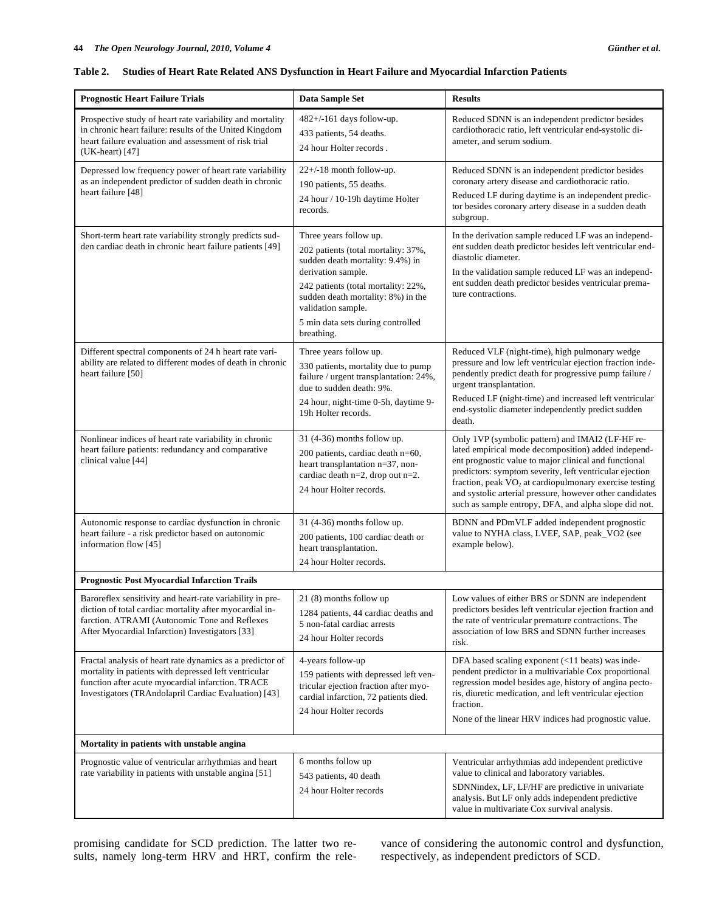| <b>Prognostic Heart Failure Trials</b>                                                                                                                                                                                          | Data Sample Set                                                                                                                                                                                                                                                               | <b>Results</b>                                                                                                                                                                                                                                                                                                                                                                                                         |  |  |  |
|---------------------------------------------------------------------------------------------------------------------------------------------------------------------------------------------------------------------------------|-------------------------------------------------------------------------------------------------------------------------------------------------------------------------------------------------------------------------------------------------------------------------------|------------------------------------------------------------------------------------------------------------------------------------------------------------------------------------------------------------------------------------------------------------------------------------------------------------------------------------------------------------------------------------------------------------------------|--|--|--|
| Prospective study of heart rate variability and mortality<br>in chronic heart failure: results of the United Kingdom<br>heart failure evaluation and assessment of risk trial<br>(UK-heart) [47]                                | 482+/-161 days follow-up.<br>433 patients, 54 deaths.<br>24 hour Holter records.                                                                                                                                                                                              | Reduced SDNN is an independent predictor besides<br>cardiothoracic ratio, left ventricular end-systolic di-<br>ameter, and serum sodium.                                                                                                                                                                                                                                                                               |  |  |  |
| Depressed low frequency power of heart rate variability<br>as an independent predictor of sudden death in chronic<br>heart failure [48]                                                                                         | $22+/18$ month follow-up.<br>190 patients, 55 deaths.<br>24 hour / 10-19h daytime Holter<br>records.                                                                                                                                                                          | Reduced SDNN is an independent predictor besides<br>coronary artery disease and cardiothoracic ratio.<br>Reduced LF during daytime is an independent predic-<br>tor besides coronary artery disease in a sudden death<br>subgroup.                                                                                                                                                                                     |  |  |  |
| Short-term heart rate variability strongly predicts sud-<br>den cardiac death in chronic heart failure patients [49]                                                                                                            | Three years follow up.<br>202 patients (total mortality: 37%,<br>sudden death mortality: 9.4%) in<br>derivation sample.<br>242 patients (total mortality: 22%,<br>sudden death mortality: 8%) in the<br>validation sample.<br>5 min data sets during controlled<br>breathing. | In the derivation sample reduced LF was an independ-<br>ent sudden death predictor besides left ventricular end-<br>diastolic diameter.<br>In the validation sample reduced LF was an independ-<br>ent sudden death predictor besides ventricular prema-<br>ture contractions.                                                                                                                                         |  |  |  |
| Different spectral components of 24 h heart rate vari-<br>ability are related to different modes of death in chronic<br>heart failure [50]                                                                                      | Three years follow up.<br>330 patients, mortality due to pump<br>failure / urgent transplantation: 24%,<br>due to sudden death: 9%.<br>24 hour, night-time 0-5h, daytime 9-<br>19h Holter records.                                                                            | Reduced VLF (night-time), high pulmonary wedge<br>pressure and low left ventricular ejection fraction inde-<br>pendently predict death for progressive pump failure /<br>urgent transplantation.<br>Reduced LF (night-time) and increased left ventricular<br>end-systolic diameter independently predict sudden                                                                                                       |  |  |  |
| Nonlinear indices of heart rate variability in chronic<br>heart failure patients: redundancy and comparative<br>clinical value [44]                                                                                             | 31 (4-36) months follow up.<br>200 patients, cardiac death n=60,<br>heart transplantation n=37, non-<br>cardiac death $n=2$ , drop out $n=2$ .<br>24 hour Holter records.                                                                                                     | death.<br>Only 1VP (symbolic pattern) and IMAI2 (LF-HF re-<br>lated empirical mode decomposition) added independ-<br>ent prognostic value to major clinical and functional<br>predictors: symptom severity, left ventricular ejection<br>fraction, peak $VO2$ at cardiopulmonary exercise testing<br>and systolic arterial pressure, however other candidates<br>such as sample entropy, DFA, and alpha slope did not. |  |  |  |
| Autonomic response to cardiac dysfunction in chronic<br>heart failure - a risk predictor based on autonomic<br>information flow [45]                                                                                            | 31 (4-36) months follow up.<br>200 patients, 100 cardiac death or<br>heart transplantation.<br>24 hour Holter records.                                                                                                                                                        | BDNN and PDmVLF added independent prognostic<br>value to NYHA class, LVEF, SAP, peak_VO2 (see<br>example below).                                                                                                                                                                                                                                                                                                       |  |  |  |
| <b>Prognostic Post Myocardial Infarction Trails</b>                                                                                                                                                                             |                                                                                                                                                                                                                                                                               |                                                                                                                                                                                                                                                                                                                                                                                                                        |  |  |  |
| Baroreflex sensitivity and heart-rate variability in pre-<br>diction of total cardiac mortality after myocardial in-<br>farction. ATRAMI (Autonomic Tone and Reflexes<br>After Myocardial Infarction) Investigators [33]        | 21 (8) months follow up<br>1284 patients, 44 cardiac deaths and<br>5 non-fatal cardiac arrests<br>24 hour Holter records                                                                                                                                                      | Low values of either BRS or SDNN are independent<br>predictors besides left ventricular ejection fraction and<br>the rate of ventricular premature contractions. The<br>association of low BRS and SDNN further increases<br>risk.                                                                                                                                                                                     |  |  |  |
| Fractal analysis of heart rate dynamics as a predictor of<br>mortality in patients with depressed left ventricular<br>function after acute myocardial infarction. TRACE<br>Investigators (TRAndolapril Cardiac Evaluation) [43] | 4-years follow-up<br>159 patients with depressed left ven-<br>tricular ejection fraction after myo-<br>cardial infarction, 72 patients died.<br>24 hour Holter records                                                                                                        | DFA based scaling exponent (<11 beats) was inde-<br>pendent predictor in a multivariable Cox proportional<br>regression model besides age, history of angina pecto-<br>ris, diuretic medication, and left ventricular ejection<br>fraction.<br>None of the linear HRV indices had prognostic value.                                                                                                                    |  |  |  |
| Mortality in patients with unstable angina                                                                                                                                                                                      |                                                                                                                                                                                                                                                                               |                                                                                                                                                                                                                                                                                                                                                                                                                        |  |  |  |
| Prognostic value of ventricular arrhythmias and heart<br>rate variability in patients with unstable angina [51]                                                                                                                 | 6 months follow up<br>543 patients, 40 death<br>24 hour Holter records                                                                                                                                                                                                        | Ventricular arrhythmias add independent predictive<br>value to clinical and laboratory variables.<br>SDNNindex, LF, LF/HF are predictive in univariate<br>analysis. But LF only adds independent predictive<br>value in multivariate Cox survival analysis.                                                                                                                                                            |  |  |  |

## **Table 2. Studies of Heart Rate Related ANS Dysfunction in Heart Failure and Myocardial Infarction Patients**

promising candidate for SCD prediction. The latter two results, namely long-term HRV and HRT, confirm the relevance of considering the autonomic control and dysfunction, respectively, as independent predictors of SCD.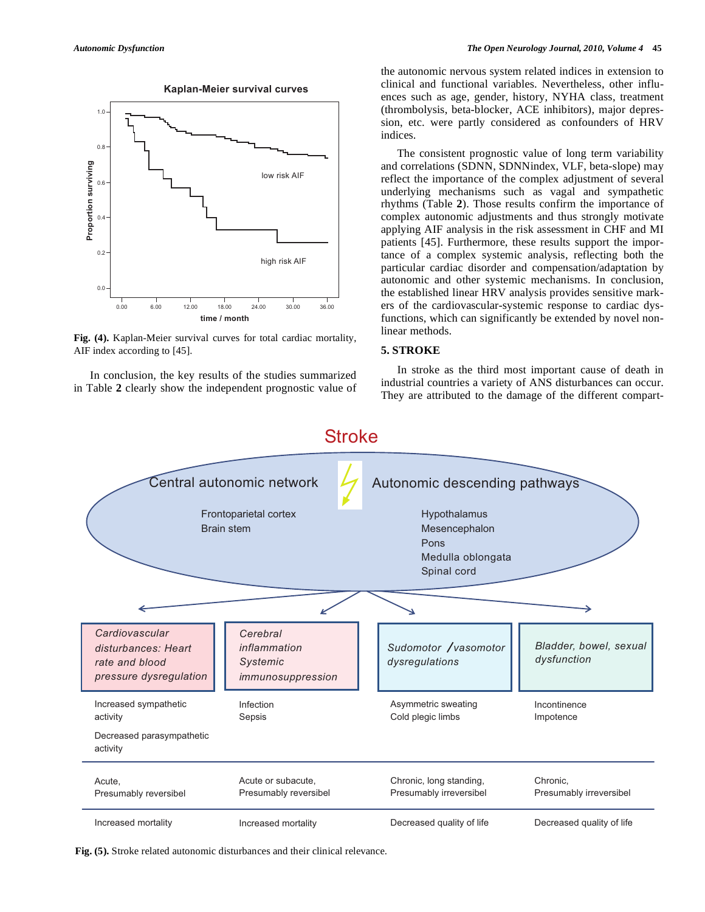



**Fig. (4).** Kaplan-Meier survival curves for total cardiac mortality, AIF index according to [45].

 In conclusion, the key results of the studies summarized in Table **2** clearly show the independent prognostic value of the autonomic nervous system related indices in extension to clinical and functional variables. Nevertheless, other influences such as age, gender, history, NYHA class, treatment (thrombolysis, beta-blocker, ACE inhibitors), major depression, etc. were partly considered as confounders of HRV indices.

 The consistent prognostic value of long term variability and correlations (SDNN, SDNNindex, VLF, beta-slope) may reflect the importance of the complex adjustment of several underlying mechanisms such as vagal and sympathetic rhythms (Table **2**). Those results confirm the importance of complex autonomic adjustments and thus strongly motivate applying AIF analysis in the risk assessment in CHF and MI patients [45]. Furthermore, these results support the importance of a complex systemic analysis, reflecting both the particular cardiac disorder and compensation/adaptation by autonomic and other systemic mechanisms. In conclusion, the established linear HRV analysis provides sensitive markers of the cardiovascular-systemic response to cardiac dysfunctions, which can significantly be extended by novel nonlinear methods.

## **5. STROKE**

 In stroke as the third most important cause of death in industrial countries a variety of ANS disturbances can occur. They are attributed to the damage of the different compart-



**Fig. (5).** Stroke related autonomic disturbances and their clinical relevance.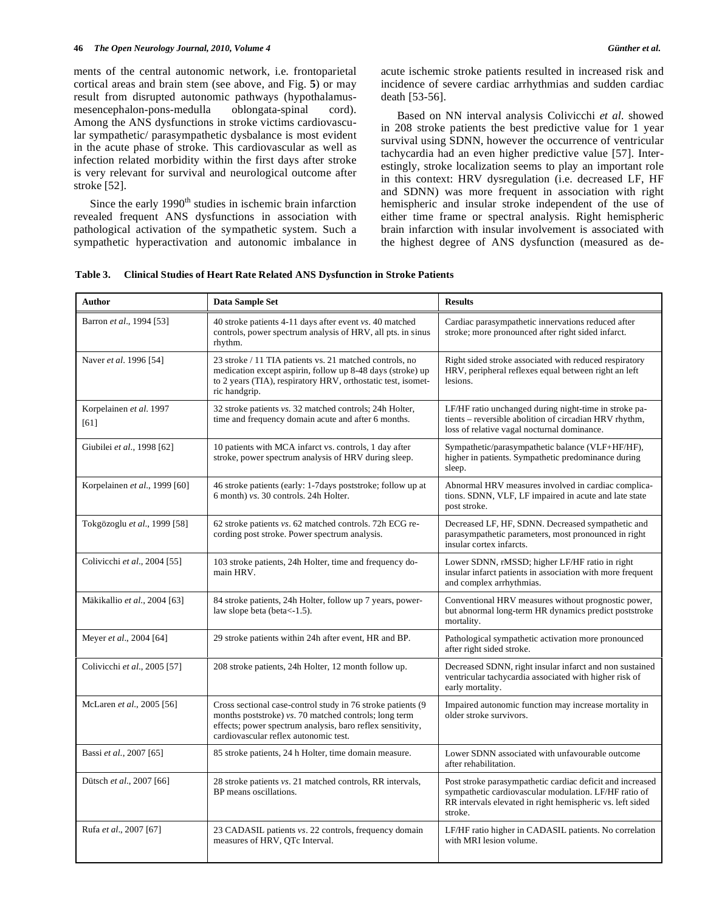ments of the central autonomic network, i.e. frontoparietal cortical areas and brain stem (see above, and Fig. **5**) or may result from disrupted autonomic pathways (hypothalamusmesencephalon-pons-medulla oblongata-spinal cord). Among the ANS dysfunctions in stroke victims cardiovascular sympathetic/ parasympathetic dysbalance is most evident in the acute phase of stroke. This cardiovascular as well as infection related morbidity within the first days after stroke is very relevant for survival and neurological outcome after stroke [52].

Since the early  $1990<sup>th</sup>$  studies in ischemic brain infarction revealed frequent ANS dysfunctions in association with pathological activation of the sympathetic system. Such a sympathetic hyperactivation and autonomic imbalance in acute ischemic stroke patients resulted in increased risk and incidence of severe cardiac arrhythmias and sudden cardiac death [53-56].

 Based on NN interval analysis Colivicchi *et al.* showed in 208 stroke patients the best predictive value for 1 year survival using SDNN, however the occurrence of ventricular tachycardia had an even higher predictive value [57]. Interestingly, stroke localization seems to play an important role in this context: HRV dysregulation (i.e. decreased LF, HF and SDNN) was more frequent in association with right hemispheric and insular stroke independent of the use of either time frame or spectral analysis. Right hemispheric brain infarction with insular involvement is associated with the highest degree of ANS dysfunction (measured as de-

| <b>Author</b>                   | Data Sample Set                                                                                                                                                                                                              | <b>Results</b>                                                                                                                                                                             |
|---------------------------------|------------------------------------------------------------------------------------------------------------------------------------------------------------------------------------------------------------------------------|--------------------------------------------------------------------------------------------------------------------------------------------------------------------------------------------|
| Barron et al., 1994 [53]        | 40 stroke patients 4-11 days after event vs. 40 matched<br>controls, power spectrum analysis of HRV, all pts. in sinus<br>rhythm.                                                                                            | Cardiac parasympathetic innervations reduced after<br>stroke; more pronounced after right sided infarct.                                                                                   |
| Naver et al. 1996 [54]          | 23 stroke / 11 TIA patients vs. 21 matched controls, no<br>medication except aspirin, follow up 8-48 days (stroke) up<br>to 2 years (TIA), respiratory HRV, orthostatic test, isomet-<br>ric handgrip.                       | Right sided stroke associated with reduced respiratory<br>HRV, peripheral reflexes equal between right an left<br>lesions.                                                                 |
| Korpelainen et al. 1997<br>[61] | 32 stroke patients vs. 32 matched controls; 24h Holter,<br>time and frequency domain acute and after 6 months.                                                                                                               | LF/HF ratio unchanged during night-time in stroke pa-<br>tients – reversible abolition of circadian HRV rhythm,<br>loss of relative vagal nocturnal dominance.                             |
| Giubilei et al., 1998 [62]      | 10 patients with MCA infarct vs. controls, 1 day after<br>stroke, power spectrum analysis of HRV during sleep.                                                                                                               | Sympathetic/parasympathetic balance (VLF+HF/HF),<br>higher in patients. Sympathetic predominance during<br>sleep.                                                                          |
| Korpelainen et al., 1999 [60]   | 46 stroke patients (early: 1-7 days poststroke; follow up at<br>6 month) vs. 30 controls. 24h Holter.                                                                                                                        | Abnormal HRV measures involved in cardiac complica-<br>tions. SDNN, VLF, LF impaired in acute and late state<br>post stroke.                                                               |
| Tokgözoglu et al., 1999 [58]    | 62 stroke patients vs. 62 matched controls. 72h ECG re-<br>cording post stroke. Power spectrum analysis.                                                                                                                     | Decreased LF, HF, SDNN. Decreased sympathetic and<br>parasympathetic parameters, most pronounced in right<br>insular cortex infarcts.                                                      |
| Colivicchi et al., 2004 [55]    | 103 stroke patients, 24h Holter, time and frequency do-<br>main HRV.                                                                                                                                                         | Lower SDNN, rMSSD; higher LF/HF ratio in right<br>insular infarct patients in association with more frequent<br>and complex arrhythmias.                                                   |
| Mäkikallio et al., 2004 [63]    | 84 stroke patients, 24h Holter, follow up 7 years, power-<br>law slope beta (beta $<-1.5$ ).                                                                                                                                 | Conventional HRV measures without prognostic power,<br>but abnormal long-term HR dynamics predict poststroke<br>mortality.                                                                 |
| Meyer et al., 2004 [64]         | 29 stroke patients within 24h after event, HR and BP.                                                                                                                                                                        | Pathological sympathetic activation more pronounced<br>after right sided stroke.                                                                                                           |
| Colivicchi et al., 2005 [57]    | 208 stroke patients, 24h Holter, 12 month follow up.                                                                                                                                                                         | Decreased SDNN, right insular infarct and non sustained<br>ventricular tachycardia associated with higher risk of<br>early mortality.                                                      |
| McLaren et al., 2005 [56]       | Cross sectional case-control study in 76 stroke patients (9)<br>months poststroke) vs. 70 matched controls; long term<br>effects; power spectrum analysis, baro reflex sensitivity,<br>cardiovascular reflex autonomic test. | Impaired autonomic function may increase mortality in<br>older stroke survivors.                                                                                                           |
| Bassi et al., 2007 [65]         | 85 stroke patients, 24 h Holter, time domain measure.                                                                                                                                                                        | Lower SDNN associated with unfavourable outcome<br>after rehabilitation.                                                                                                                   |
| Dütsch et al., 2007 [66]        | 28 stroke patients vs. 21 matched controls, RR intervals,<br>BP means oscillations.                                                                                                                                          | Post stroke parasympathetic cardiac deficit and increased<br>sympathetic cardiovascular modulation. LF/HF ratio of<br>RR intervals elevated in right hemispheric vs. left sided<br>stroke. |
| Rufa et al., 2007 [67]          | 23 CADASIL patients vs. 22 controls, frequency domain<br>measures of HRV, QTc Interval.                                                                                                                                      | LF/HF ratio higher in CADASIL patients. No correlation<br>with MRI lesion volume.                                                                                                          |

**Table 3. Clinical Studies of Heart Rate Related ANS Dysfunction in Stroke Patients**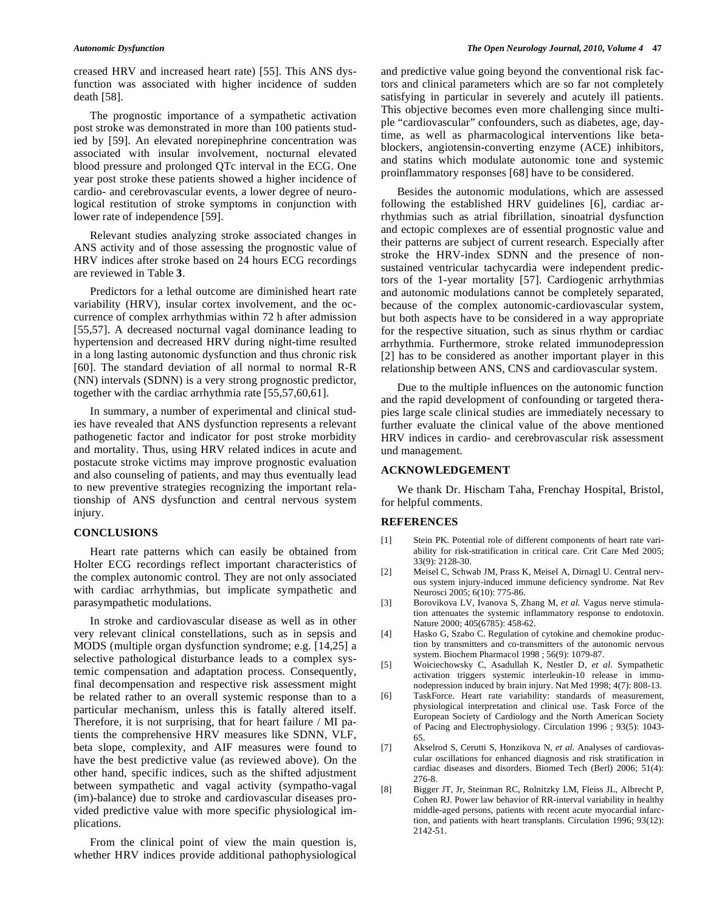creased HRV and increased heart rate) [55]. This ANS dysfunction was associated with higher incidence of sudden death [58].

 The prognostic importance of a sympathetic activation post stroke was demonstrated in more than 100 patients studied by [59]. An elevated norepinephrine concentration was associated with insular involvement, nocturnal elevated blood pressure and prolonged QTc interval in the ECG. One year post stroke these patients showed a higher incidence of cardio- and cerebrovascular events, a lower degree of neurological restitution of stroke symptoms in conjunction with lower rate of independence [59].

 Relevant studies analyzing stroke associated changes in ANS activity and of those assessing the prognostic value of HRV indices after stroke based on 24 hours ECG recordings are reviewed in Table **3**.

 Predictors for a lethal outcome are diminished heart rate variability (HRV), insular cortex involvement, and the occurrence of complex arrhythmias within 72 h after admission [55,57]. A decreased nocturnal vagal dominance leading to hypertension and decreased HRV during night-time resulted in a long lasting autonomic dysfunction and thus chronic risk [60]. The standard deviation of all normal to normal R-R (NN) intervals (SDNN) is a very strong prognostic predictor, together with the cardiac arrhythmia rate [55,57,60,61].

 In summary, a number of experimental and clinical studies have revealed that ANS dysfunction represents a relevant pathogenetic factor and indicator for post stroke morbidity and mortality. Thus, using HRV related indices in acute and postacute stroke victims may improve prognostic evaluation and also counseling of patients, and may thus eventually lead to new preventive strategies recognizing the important relationship of ANS dysfunction and central nervous system injury.

## **CONCLUSIONS**

 Heart rate patterns which can easily be obtained from Holter ECG recordings reflect important characteristics of the complex autonomic control. They are not only associated with cardiac arrhythmias, but implicate sympathetic and parasympathetic modulations.

 In stroke and cardiovascular disease as well as in other very relevant clinical constellations, such as in sepsis and MODS (multiple organ dysfunction syndrome; e.g. [14,25] a selective pathological disturbance leads to a complex systemic compensation and adaptation process. Consequently, final decompensation and respective risk assessment might be related rather to an overall systemic response than to a particular mechanism, unless this is fatally altered itself. Therefore, it is not surprising, that for heart failure / MI patients the comprehensive HRV measures like SDNN, VLF, beta slope, complexity, and AIF measures were found to have the best predictive value (as reviewed above). On the other hand, specific indices, such as the shifted adjustment between sympathetic and vagal activity (sympatho-vagal (im)-balance) due to stroke and cardiovascular diseases provided predictive value with more specific physiological implications.

 From the clinical point of view the main question is, whether HRV indices provide additional pathophysiological and predictive value going beyond the conventional risk factors and clinical parameters which are so far not completely satisfying in particular in severely and acutely ill patients. This objective becomes even more challenging since multiple "cardiovascular" confounders, such as diabetes, age, daytime, as well as pharmacological interventions like betablockers, angiotensin-converting enzyme (ACE) inhibitors, and statins which modulate autonomic tone and systemic proinflammatory responses [68] have to be considered.

 Besides the autonomic modulations, which are assessed following the established HRV guidelines [6], cardiac arrhythmias such as atrial fibrillation, sinoatrial dysfunction and ectopic complexes are of essential prognostic value and their patterns are subject of current research. Especially after stroke the HRV-index SDNN and the presence of nonsustained ventricular tachycardia were independent predictors of the 1-year mortality [57]. Cardiogenic arrhythmias and autonomic modulations cannot be completely separated, because of the complex autonomic-cardiovascular system, but both aspects have to be considered in a way appropriate for the respective situation, such as sinus rhythm or cardiac arrhythmia. Furthermore, stroke related immunodepression [2] has to be considered as another important player in this relationship between ANS, CNS and cardiovascular system.

 Due to the multiple influences on the autonomic function and the rapid development of confounding or targeted therapies large scale clinical studies are immediately necessary to further evaluate the clinical value of the above mentioned HRV indices in cardio- and cerebrovascular risk assessment und management.

#### **ACKNOWLEDGEMENT**

 We thank Dr. Hischam Taha, Frenchay Hospital, Bristol, for helpful comments.

#### **REFERENCES**

- [1] Stein PK. Potential role of different components of heart rate variability for risk-stratification in critical care. Crit Care Med 2005; 33(9): 2128-30.
- [2] Meisel C, Schwab JM, Prass K, Meisel A, Dirnagl U. Central nervous system injury-induced immune deficiency syndrome. Nat Rev Neurosci 2005; 6(10): 775-86.
- [3] Borovikova LV, Ivanova S, Zhang M, *et al.* Vagus nerve stimulation attenuates the systemic inflammatory response to endotoxin. Nature 2000; 405(6785): 458-62.
- [4] Hasko G, Szabo C. Regulation of cytokine and chemokine production by transmitters and co-transmitters of the autonomic nervous system. Biochem Pharmacol 1998 ; 56(9): 1079-87.
- [5] Woiciechowsky C, Asadullah K, Nestler D, *et al.* Sympathetic activation triggers systemic interleukin-10 release in immunodepression induced by brain injury. Nat Med 1998; 4(7): 808-13.
- [6] TaskForce. Heart rate variability: standards of measurement, physiological interpretation and clinical use. Task Force of the European Society of Cardiology and the North American Society of Pacing and Electrophysiology. Circulation 1996 ; 93(5): 1043- 65.
- [7] Akselrod S, Cerutti S, Honzikova N, *et al.* Analyses of cardiovascular oscillations for enhanced diagnosis and risk stratification in cardiac diseases and disorders. Biomed Tech (Berl) 2006; 51(4): 276-8.
- [8] Bigger JT, Jr, Steinman RC, Rolnitzky LM, Fleiss JL, Albrecht P, Cohen RJ. Power law behavior of RR-interval variability in healthy middle-aged persons, patients with recent acute myocardial infarction, and patients with heart transplants. Circulation 1996; 93(12): 2142-51.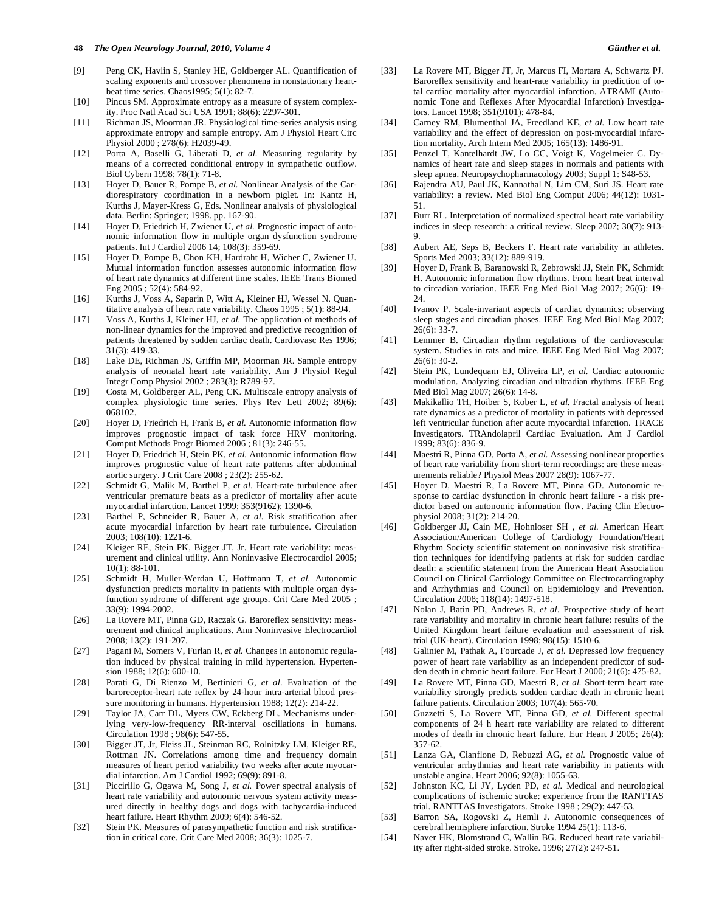#### **48** *The Open Neurology Journal, 2010, Volume 4 Günther et al.*

- [9] Peng CK, Havlin S, Stanley HE, Goldberger AL. Quantification of scaling exponents and crossover phenomena in nonstationary heartbeat time series. Chaos1995; 5(1): 82-7.
- [10] Pincus SM. Approximate entropy as a measure of system complexity. Proc Natl Acad Sci USA 1991; 88(6): 2297-301.
- [11] Richman JS, Moorman JR. Physiological time-series analysis using approximate entropy and sample entropy. Am J Physiol Heart Circ Physiol 2000 ; 278(6): H2039-49.
- [12] Porta A, Baselli G, Liberati D, *et al.* Measuring regularity by means of a corrected conditional entropy in sympathetic outflow. Biol Cybern 1998; 78(1): 71-8.
- [13] Hoyer D, Bauer R, Pompe B, *et al.* Nonlinear Analysis of the Cardiorespiratory coordination in a newborn piglet. In: Kantz H, Kurths J, Mayer-Kress G, Eds. Nonlinear analysis of physiological data. Berlin: Springer; 1998. pp. 167-90.
- [14] Hoyer D, Friedrich H, Zwiener U, *et al.* Prognostic impact of autonomic information flow in multiple organ dysfunction syndrome patients. Int J Cardiol 2006 14; 108(3): 359-69.
- [15] Hoyer D, Pompe B, Chon KH, Hardraht H, Wicher C, Zwiener U. Mutual information function assesses autonomic information flow of heart rate dynamics at different time scales. IEEE Trans Biomed Eng 2005 ; 52(4): 584-92.
- [16] Kurths J, Voss A, Saparin P, Witt A, Kleiner HJ, Wessel N. Quantitative analysis of heart rate variability. Chaos 1995 ; 5(1): 88-94.
- [17] Voss A, Kurths J, Kleiner HJ, *et al.* The application of methods of non-linear dynamics for the improved and predictive recognition of patients threatened by sudden cardiac death. Cardiovasc Res 1996; 31(3): 419-33.
- [18] Lake DE, Richman JS, Griffin MP, Moorman JR. Sample entropy analysis of neonatal heart rate variability. Am J Physiol Regul Integr Comp Physiol 2002 ; 283(3): R789-97.
- [19] Costa M, Goldberger AL, Peng CK. Multiscale entropy analysis of complex physiologic time series. Phys Rev Lett 2002; 89(6): 068102.
- [20] Hoyer D, Friedrich H, Frank B, *et al.* Autonomic information flow improves prognostic impact of task force HRV monitoring. Comput Methods Progr Biomed 2006 ; 81(3): 246-55.
- [21] Hoyer D, Friedrich H, Stein PK, *et al.* Autonomic information flow improves prognostic value of heart rate patterns after abdominal aortic surgery. J Crit Care 2008 ; 23(2): 255-62.
- [22] Schmidt G, Malik M, Barthel P, et al. Heart-rate turbulence after ventricular premature beats as a predictor of mortality after acute myocardial infarction. Lancet 1999; 353(9162): 1390-6.
- [23] Barthel P, Schneider R, Bauer A, *et al.* Risk stratification after acute myocardial infarction by heart rate turbulence. Circulation 2003; 108(10): 1221-6.
- [24] Kleiger RE, Stein PK, Bigger JT, Jr. Heart rate variability: measurement and clinical utility. Ann Noninvasive Electrocardiol 2005; 10(1): 88-101.
- [25] Schmidt H, Muller-Werdan U, Hoffmann T, *et al.* Autonomic dysfunction predicts mortality in patients with multiple organ dysfunction syndrome of different age groups. Crit Care Med 2005 ; 33(9): 1994-2002.
- [26] La Rovere MT, Pinna GD, Raczak G. Baroreflex sensitivity: measurement and clinical implications. Ann Noninvasive Electrocardiol 2008; 13(2): 191-207.
- [27] Pagani M, Somers V, Furlan R, *et al.* Changes in autonomic regulation induced by physical training in mild hypertension. Hypertension 1988; 12(6): 600-10.
- [28] Parati G, Di Rienzo M, Bertinieri G, *et al.* Evaluation of the baroreceptor-heart rate reflex by 24-hour intra-arterial blood pressure monitoring in humans. Hypertension 1988; 12(2): 214-22.
- [29] Taylor JA, Carr DL, Myers CW, Eckberg DL. Mechanisms underlying very-low-frequency RR-interval oscillations in humans. Circulation 1998 ; 98(6): 547-55.
- [30] Bigger JT, Jr, Fleiss JL, Steinman RC, Rolnitzky LM, Kleiger RE, Rottman JN. Correlations among time and frequency domain measures of heart period variability two weeks after acute myocardial infarction. Am J Cardiol 1992; 69(9): 891-8.
- [31] Piccirillo G, Ogawa M, Song J, *et al.* Power spectral analysis of heart rate variability and autonomic nervous system activity measured directly in healthy dogs and dogs with tachycardia-induced heart failure. Heart Rhythm 2009; 6(4): 546-52.
- [32] Stein PK. Measures of parasympathetic function and risk stratification in critical care. Crit Care Med 2008; 36(3): 1025-7.
- [33] La Rovere MT, Bigger JT, Jr, Marcus FI, Mortara A, Schwartz PJ. Baroreflex sensitivity and heart-rate variability in prediction of total cardiac mortality after myocardial infarction. ATRAMI (Autonomic Tone and Reflexes After Myocardial Infarction) Investigators. Lancet 1998; 351(9101): 478-84.
- [34] Carney RM, Blumenthal JA, Freedland KE, *et al.* Low heart rate variability and the effect of depression on post-myocardial infarction mortality. Arch Intern Med 2005; 165(13): 1486-91.
- [35] Penzel T, Kantelhardt JW, Lo CC, Voigt K, Vogelmeier C. Dynamics of heart rate and sleep stages in normals and patients with sleep apnea. Neuropsychopharmacology 2003; Suppl 1: S48-53.
- [36] Rajendra AU, Paul JK, Kannathal N, Lim CM, Suri JS. Heart rate variability: a review. Med Biol Eng Comput 2006; 44(12): 1031- 51.
- [37] Burr RL. Interpretation of normalized spectral heart rate variability indices in sleep research: a critical review. Sleep 2007; 30(7): 913- 9.
- [38] Aubert AE, Seps B, Beckers F. Heart rate variability in athletes. Sports Med 2003; 33(12): 889-919.
- [39] Hoyer D, Frank B, Baranowski R, Zebrowski JJ, Stein PK, Schmidt H. Autonomic information flow rhythms. From heart beat interval to circadian variation. IEEE Eng Med Biol Mag 2007; 26(6): 19- 24.
- [40] Ivanov P. Scale-invariant aspects of cardiac dynamics: observing sleep stages and circadian phases. IEEE Eng Med Biol Mag 2007; 26(6): 33-7.
- [41] Lemmer B. Circadian rhythm regulations of the cardiovascular system. Studies in rats and mice. IEEE Eng Med Biol Mag 2007; 26(6): 30-2.
- [42] Stein PK, Lundequam EJ, Oliveira LP, *et al.* Cardiac autonomic modulation. Analyzing circadian and ultradian rhythms. IEEE Eng Med Biol Mag 2007; 26(6): 14-8.
- [43] Makikallio TH, Hoiber S, Kober L, et al. Fractal analysis of heart rate dynamics as a predictor of mortality in patients with depressed left ventricular function after acute myocardial infarction. TRACE Investigators. TRAndolapril Cardiac Evaluation. Am J Cardiol 1999; 83(6): 836-9.
- [44] Maestri R, Pinna GD, Porta A, *et al.* Assessing nonlinear properties of heart rate variability from short-term recordings: are these measurements reliable? Physiol Meas 2007 28(9): 1067-77.
- [45] Hoyer D, Maestri R, La Rovere MT, Pinna GD. Autonomic response to cardiac dysfunction in chronic heart failure - a risk predictor based on autonomic information flow. Pacing Clin Electrophysiol 2008; 31(2): 214-20.
- [46] Goldberger JJ, Cain ME, Hohnloser SH , *et al.* American Heart Association/American College of Cardiology Foundation/Heart Rhythm Society scientific statement on noninvasive risk stratification techniques for identifying patients at risk for sudden cardiac death: a scientific statement from the American Heart Association Council on Clinical Cardiology Committee on Electrocardiography and Arrhythmias and Council on Epidemiology and Prevention. Circulation 2008; 118(14): 1497-518.
- [47] Nolan J, Batin PD, Andrews R, *et al.* Prospective study of heart rate variability and mortality in chronic heart failure: results of the United Kingdom heart failure evaluation and assessment of risk trial (UK-heart). Circulation 1998; 98(15): 1510-6.
- [48] Galinier M, Pathak A, Fourcade J, *et al.* Depressed low frequency power of heart rate variability as an independent predictor of sudden death in chronic heart failure. Eur Heart J 2000; 21(6): 475-82.
- [49] La Rovere MT, Pinna GD, Maestri R, *et al.* Short-term heart rate variability strongly predicts sudden cardiac death in chronic heart failure patients. Circulation 2003; 107(4): 565-70.
- [50] Guzzetti S, La Rovere MT, Pinna GD, *et al.* Different spectral components of 24 h heart rate variability are related to different modes of death in chronic heart failure. Eur Heart J 2005; 26(4): 357-62.
- [51] Lanza GA, Cianflone D, Rebuzzi AG, *et al.* Prognostic value of ventricular arrhythmias and heart rate variability in patients with unstable angina. Heart 2006; 92(8): 1055-63.
- [52] Johnston KC, Li JY, Lyden PD, *et al.* Medical and neurological complications of ischemic stroke: experience from the RANTTAS trial. RANTTAS Investigators. Stroke 1998 ; 29(2): 447-53.
- [53] Barron SA, Rogovski Z, Hemli J. Autonomic consequences of cerebral hemisphere infarction. Stroke 1994 25(1): 113-6.
- [54] Naver HK, Blomstrand C, Wallin BG. Reduced heart rate variability after right-sided stroke. Stroke. 1996; 27(2): 247-51.